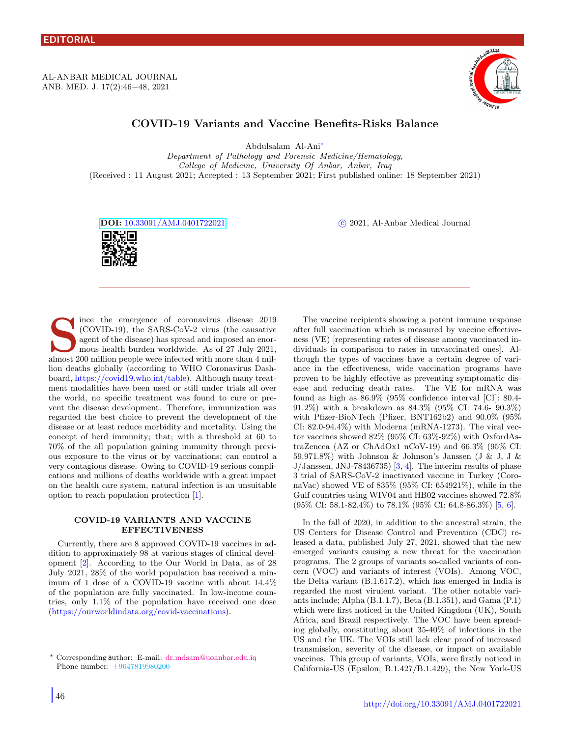AL-ANBAR MEDICAL JOURNAL ANB. MED. J. 17(2):46−48, 2021



# COVID-19 Variants and Vaccine Benefits-Risks Balance

Abdulsalam Al-Ani[∗](#page-0-0)

Department of Pathology and Forensic Medicine/Hematology, College of Medicine, University Of Anbar, Anbar, Iraq (Received : 11 August 2021; Accepted : 13 September 2021; First published online: 18 September 2021)

DOI: [10.33091/AMJ.0401722021](http://dx.doi.org/10.33091/AMJ.0401722021) c 2021, Al-Anbar Medical Journal



s ince the emergence of coronavirus disease 2019 (COVID-19), the SARS-CoV-2 virus (the causative agent of the disease) has spread and imposed an enormous health burden worldwide. As of 27 July 2021, almost 200 million peop ince the emergence of coronavirus disease 2019 (COVID-19), the SARS-CoV-2 virus (the causative agent of the disease) has spread and imposed an enormous health burden worldwide. As of 27 July 2021, lion deaths globally (according to WHO Coronavirus Dashboard, https://covid19.who.int/table). Although many treatment modalities have been used or still under trials all over the world, no specific treatment was found to cure or prevent the disease development. Therefore, immunization was regarded the best choice to prevent the development of the disease or at least reduce morbidity and mortality. Using the concept of herd immunity; that; with a threshold at 60 to 70% of the all population gaining immunity through previous exposure to the virus or by vaccinations; can control a very contagious disease. Owing to COVID-19 serious complications and millions of deaths worldwide with a great impact on the health care system, natural infection is an unsuitable option to reach population protection [\[1\]](#page-2-0).

## COVID-19 VARIANTS AND VACCINE EFFECTIVENESS

Currently, there are 8 approved COVID-19 vaccines in addition to approximately 98 at various stages of clinical development [\[2\]](#page-2-1). According to the Our World in Data, as of 28 July 2021, 28% of the world population has received a minimum of 1 dose of a COVID-19 vaccine with about 14.4% of the population are fully vaccinated. In low-income countries, only 1.1% of the population have received one dose (https://ourworldindata.org/covid-vaccinations).

The vaccine recipients showing a potent immune response after full vaccination which is measured by vaccine effectiveness (VE) [representing rates of disease among vaccinated individuals in comparison to rates in unvaccinated ones]. Although the types of vaccines have a certain degree of variance in the effectiveness, wide vaccination programs have proven to be highly effective as preventing symptomatic disease and reducing death rates. The VE for mRNA was found as high as 86.9% (95% confidence interval [CI]: 80.4- 91.2%) with a breakdown as 84.3% (95% CI: 74.6- 90.3%) with Pfizer-BioNTech (Pfizer, BNT162b2) and 90.0% (95% CI:  $82.0-94.4\%$ ) with Moderna (mRNA-1273). The viral vector vaccines showed 82% (95% CI: 63%-92%) with OxfordAstraZeneca (AZ or ChAdOx1 nCoV-19) and 66.3% (95% CI: 59.971.8%) with Johnson & Johnson's Janssen (J & J, J &  $J/Janssen, JNJ-78436735)$  [\[3,](#page-2-2) [4\]](#page-2-3). The interim results of phase 3 trial of SARS-CoV-2 inactivated vaccine in Turkey (CoronaVac) showed VE of 835% (95% CI: 654921%), while in the Gulf countries using WIV04 and HB02 vaccines showed 72.8% (95% CI: 58.1-82.4%) to 78.1% (95% CI: 64.8-86.3%) [\[5,](#page-2-4) [6\]](#page-2-5).

In the fall of 2020, in addition to the ancestral strain, the US Centers for Disease Control and Prevention (CDC) released a data, published July 27, 2021, showed that the new emerged variants causing a new threat for the vaccination programs. The 2 groups of variants so-called variants of concern (VOC) and variants of interest (VOIs). Among VOC, the Delta variant (B.1.617.2), which has emerged in India is regarded the most virulent variant. The other notable variants include; Alpha (B.1.1.7), Beta (B.1.351), and Gama (P.1) which were first noticed in the United Kingdom (UK), South Africa, and Brazil respectively. The VOC have been spreading globally, constituting about 35-40% of infections in the US and the UK. The VOIs still lack clear proof of increased transmission, severity of the disease, or impact on available vaccines. This group of variants, VOIs, were firstly noticed in California-US (Epsilon; B.1.427/B.1.429), the New York-US

<span id="page-0-0"></span><sup>∗</sup> Corresponding author: E-mail: dr.m[dsam@uoanbar.edu.iq](mailto:dr.mdsam@uoanbar.edu.iq\hskip 3.3em ) [P](mailto:dr.mdsam@uoanbar.edu.iq\hskip 3.3em )hone number: +9647819980200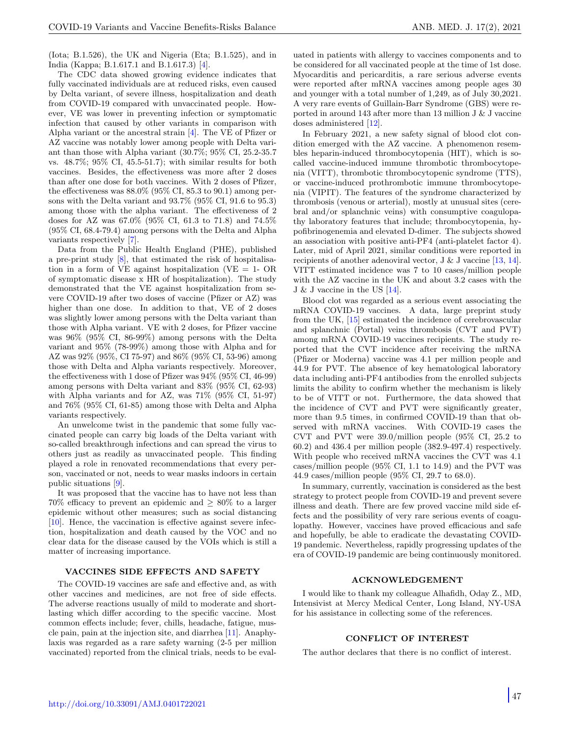(Iota; B.1.526), the UK and Nigeria (Eta; B.1.525), and in India (Kappa; B.1.617.1 and B.1.617.3) [\[4\]](#page-2-3).

The CDC data showed growing evidence indicates that fully vaccinated individuals are at reduced risks, even caused by Delta variant, of severe illness, hospitalization and death from COVID-19 compared with unvaccinated people. However, VE was lower in preventing infection or symptomatic infection that caused by other variants in comparison with Alpha variant or the ancestral strain [\[4\]](#page-2-3). The VE of Pfizer or AZ vaccine was notably lower among people with Delta variant than those with Alpha variant (30.7%; 95% CI, 25.2-35.7 vs. 48.7%; 95% CI, 45.5-51.7); with similar results for both vaccines. Besides, the effectiveness was more after 2 doses than after one dose for both vaccines. With 2 doses of Pfizer, the effectiveness was  $88.0\%$  (95% CI, 85.3 to 90.1) among persons with the Delta variant and 93.7% (95% CI, 91.6 to 95.3) among those with the alpha variant. The effectiveness of 2 doses for AZ was 67.0% (95% CI, 61.3 to 71.8) and 74.5% (95% CI, 68.4-79.4) among persons with the Delta and Alpha variants respectively [\[7\]](#page-2-6).

Data from the Public Health England (PHE), published a pre-print study [\[8\]](#page-2-7), that estimated the risk of hospitalisation in a form of VE against hospitalization (VE  $= 1$ - OR of symptomatic disease x HR of hospitalization). The study demonstrated that the VE against hospitalization from severe COVID-19 after two doses of vaccine (Pfizer or AZ) was higher than one dose. In addition to that, VE of 2 doses was slightly lower among persons with the Delta variant than those with Alpha variant. VE with 2 doses, for Pfizer vaccine was 96% (95% CI, 86-99%) among persons with the Delta variant and 95% (78-99%) among those with Alpha and for AZ was 92% (95%, CI 75-97) and 86% (95% CI, 53-96) among those with Delta and Alpha variants respectively. Moreover, the effectiveness with 1 dose of Pfizer was 94% (95% CI, 46-99) among persons with Delta variant and 83% (95% CI, 62-93) with Alpha variants and for AZ, was 71% (95% CI, 51-97) and 76% (95% CI, 61-85) among those with Delta and Alpha variants respectively.

An unwelcome twist in the pandemic that some fully vaccinated people can carry big loads of the Delta variant with so-called breakthrough infections and can spread the virus to others just as readily as unvaccinated people. This finding played a role in renovated recommendations that every person, vaccinated or not, needs to wear masks indoors in certain public situations [\[9\]](#page-2-8).

It was proposed that the vaccine has to have not less than 70% efficacy to prevent an epidemic and  $\geq 80\%$  to a larger epidemic without other measures; such as social distancing [\[10\]](#page-2-9). Hence, the vaccination is effective against severe infection, hospitalization and death caused by the VOC and no clear data for the disease caused by the VOIs which is still a matter of increasing importance.

#### VACCINES SIDE EFFECTS AND SAFETY

The COVID-19 vaccines are safe and effective and, as with other vaccines and medicines, are not free of side effects. The adverse reactions usually of mild to moderate and shortlasting which differ according to the specific vaccine. Most common effects include; fever, chills, headache, fatigue, muscle pain, pain at the injection site, and diarrhea [\[11\]](#page-2-10). Anaphylaxis was regarded as a rare safety warning (2-5 per million vaccinated) reported from the clinical trials, needs to be evaluated in patients with allergy to vaccines components and to be considered for all vaccinated people at the time of 1st dose. Myocarditis and pericarditis, a rare serious adverse events were reported after mRNA vaccines among people ages 30 and younger with a total number of 1,249, as of July 30,2021. A very rare events of Guillain-Barr Syndrome (GBS) were reported in around 143 after more than 13 million J & J vaccine doses administered [\[12\]](#page-2-11).

In February 2021, a new safety signal of blood clot condition emerged with the AZ vaccine. A phenomenon resembles heparin-induced thrombocytopenia (HIT), which is socalled vaccine-induced immune thrombotic thrombocytopenia (VITT), thrombotic thrombocytopenic syndrome (TTS), or vaccine-induced prothrombotic immune thrombocytopenia (VIPIT). The features of the syndrome characterized by thrombosis (venous or arterial), mostly at unusual sites (cerebral and/or splanchnic veins) with consumptive coagulopathy laboratory features that include; thrombocytopenia, hypofibrinogenemia and elevated D-dimer. The subjects showed an association with positive anti-PF4 (anti-platelet factor 4). Later, mid of April 2021, similar conditions were reported in recipients of another adenoviral vector, J & J vaccine [\[13,](#page-2-12) [14\]](#page-2-13). VITT estimated incidence was 7 to 10 cases/million people with the AZ vaccine in the UK and about 3.2 cases with the J & J vaccine in the US [\[14\]](#page-2-13).

Blood clot was regarded as a serious event associating the mRNA COVID-19 vaccines. A data, large preprint study from the UK, [\[15\]](#page-2-14) estimated the incidence of cerebrovascular and splanchnic (Portal) veins thrombosis (CVT and PVT) among mRNA COVID-19 vaccines recipients. The study reported that the CVT incidence after receiving the mRNA (Pfizer or Moderna) vaccine was 4.1 per million people and 44.9 for PVT. The absence of key hematological laboratory data including anti-PF4 antibodies from the enrolled subjects limits the ability to confirm whether the mechanism is likely to be of VITT or not. Furthermore, the data showed that the incidence of CVT and PVT were significantly greater, more than 9.5 times, in confirmed COVID-19 than that observed with mRNA vaccines. With COVID-19 cases the CVT and PVT were 39.0/million people (95% CI, 25.2 to 60.2) and 436.4 per million people (382.9-497.4) respectively. With people who received mRNA vaccines the CVT was 4.1 cases/million people (95% CI, 1.1 to 14.9) and the PVT was 44.9 cases/million people (95% CI, 29.7 to 68.0).

In summary, currently, vaccination is considered as the best strategy to protect people from COVID-19 and prevent severe illness and death. There are few proved vaccine mild side effects and the possibility of very rare serious events of coagulopathy. However, vaccines have proved efficacious and safe and hopefully, be able to eradicate the devastating COVID-19 pandemic. Nevertheless, rapidly progressing updates of the era of COVID-19 pandemic are being continuously monitored.

### ACKNOWLEDGEMENT

I would like to thank my colleague Alhafidh, Oday Z., MD, Intensivist at Mercy Medical Center, Long Island, NY-USA for his assistance in collecting some of the references.

## CONFLICT OF INTEREST

The author declares that there is no conflict of interest.